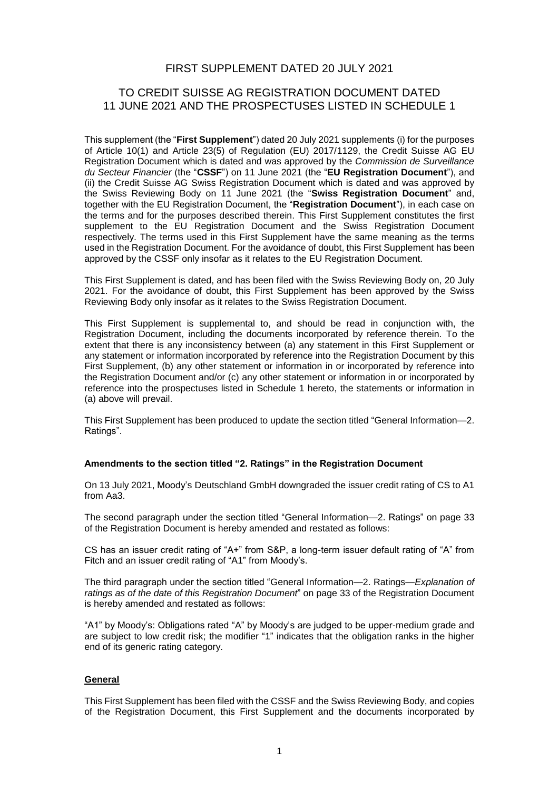## FIRST SUPPLEMENT DATED 20 JULY 2021

## TO CREDIT SUISSE AG REGISTRATION DOCUMENT DATED 11 JUNE 2021 AND THE PROSPECTUSES LISTED IN SCHEDULE 1

This supplement (the "**First Supplement**") dated 20 July 2021 supplements (i) for the purposes of Article 10(1) and Article 23(5) of Regulation (EU) 2017/1129, the Credit Suisse AG EU Registration Document which is dated and was approved by the *Commission de Surveillance du Secteur Financier* (the "**CSSF**") on 11 June 2021 (the "**EU Registration Document**"), and (ii) the Credit Suisse AG Swiss Registration Document which is dated and was approved by the Swiss Reviewing Body on 11 June 2021 (the "**Swiss Registration Document**" and, together with the EU Registration Document, the "**Registration Document**"), in each case on the terms and for the purposes described therein. This First Supplement constitutes the first supplement to the EU Registration Document and the Swiss Registration Document respectively. The terms used in this First Supplement have the same meaning as the terms used in the Registration Document. For the avoidance of doubt, this First Supplement has been approved by the CSSF only insofar as it relates to the EU Registration Document.

This First Supplement is dated, and has been filed with the Swiss Reviewing Body on, 20 July 2021. For the avoidance of doubt, this First Supplement has been approved by the Swiss Reviewing Body only insofar as it relates to the Swiss Registration Document.

This First Supplement is supplemental to, and should be read in conjunction with, the Registration Document, including the documents incorporated by reference therein. To the extent that there is any inconsistency between (a) any statement in this First Supplement or any statement or information incorporated by reference into the Registration Document by this First Supplement, (b) any other statement or information in or incorporated by reference into the Registration Document and/or (c) any other statement or information in or incorporated by reference into the prospectuses listed in Schedule 1 hereto, the statements or information in (a) above will prevail.

This First Supplement has been produced to update the section titled "General Information—2. Ratings".

#### **Amendments to the section titled "2. Ratings" in the Registration Document**

On 13 July 2021, Moody's Deutschland GmbH downgraded the issuer credit rating of CS to A1 from Aa3.

The second paragraph under the section titled "General Information—2. Ratings" on page 33 of the Registration Document is hereby amended and restated as follows:

CS has an issuer credit rating of "A+" from S&P, a long-term issuer default rating of "A" from Fitch and an issuer credit rating of "A1" from Moody's.

The third paragraph under the section titled "General Information—2. Ratings—*Explanation of ratings as of the date of this Registration Document*" on page 33 of the Registration Document is hereby amended and restated as follows:

"A1" by Moody's: Obligations rated "A" by Moody's are judged to be upper-medium grade and are subject to low credit risk; the modifier "1" indicates that the obligation ranks in the higher end of its generic rating category.

#### **General**

This First Supplement has been filed with the CSSF and the Swiss Reviewing Body, and copies of the Registration Document, this First Supplement and the documents incorporated by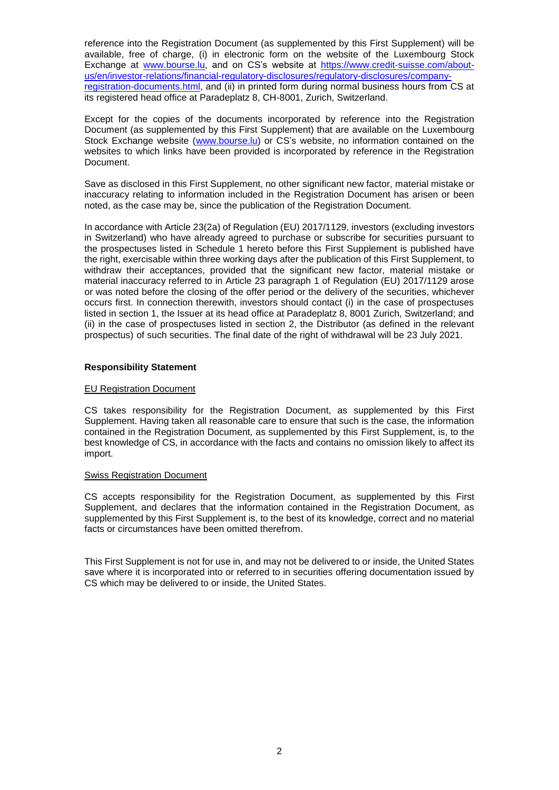reference into the Registration Document (as supplemented by this First Supplement) will be available, free of charge, (i) in electronic form on the website of the Luxembourg Stock Exchange at [www.bourse.lu,](http://www.bourse.lu/) and on CS's website at [https://www.credit-suisse.com/about](https://www.credit-suisse.com/about-us/en/investor-relations/financial-regulatory-disclosures/regulatory-disclosures/company-registration-documents.html)[us/en/investor-relations/financial-regulatory-disclosures/regulatory-disclosures/company](https://www.credit-suisse.com/about-us/en/investor-relations/financial-regulatory-disclosures/regulatory-disclosures/company-registration-documents.html)[registration-documents.html,](https://www.credit-suisse.com/about-us/en/investor-relations/financial-regulatory-disclosures/regulatory-disclosures/company-registration-documents.html) and (ii) in printed form during normal business hours from CS at its registered head office at Paradeplatz 8, CH-8001, Zurich, Switzerland.

Except for the copies of the documents incorporated by reference into the Registration Document (as supplemented by this First Supplement) that are available on the Luxembourg Stock Exchange website [\(www.bourse.lu\)](http://www.bourse.lu/) or CS's website, no information contained on the websites to which links have been provided is incorporated by reference in the Registration Document.

Save as disclosed in this First Supplement, no other significant new factor, material mistake or inaccuracy relating to information included in the Registration Document has arisen or been noted, as the case may be, since the publication of the Registration Document.

In accordance with Article 23(2a) of Regulation (EU) 2017/1129, investors (excluding investors in Switzerland) who have already agreed to purchase or subscribe for securities pursuant to the prospectuses listed in Schedule 1 hereto before this First Supplement is published have the right, exercisable within three working days after the publication of this First Supplement, to withdraw their acceptances, provided that the significant new factor, material mistake or material inaccuracy referred to in Article 23 paragraph 1 of Regulation (EU) 2017/1129 arose or was noted before the closing of the offer period or the delivery of the securities, whichever occurs first. In connection therewith, investors should contact (i) in the case of prospectuses listed in section 1, the Issuer at its head office at Paradeplatz 8, 8001 Zurich, Switzerland; and (ii) in the case of prospectuses listed in section 2, the Distributor (as defined in the relevant prospectus) of such securities. The final date of the right of withdrawal will be 23 July 2021.

#### **Responsibility Statement**

#### EU Registration Document

CS takes responsibility for the Registration Document, as supplemented by this First Supplement. Having taken all reasonable care to ensure that such is the case, the information contained in the Registration Document, as supplemented by this First Supplement, is, to the best knowledge of CS, in accordance with the facts and contains no omission likely to affect its import.

#### Swiss Registration Document

CS accepts responsibility for the Registration Document, as supplemented by this First Supplement, and declares that the information contained in the Registration Document, as supplemented by this First Supplement is, to the best of its knowledge, correct and no material facts or circumstances have been omitted therefrom.

This First Supplement is not for use in, and may not be delivered to or inside, the United States save where it is incorporated into or referred to in securities offering documentation issued by CS which may be delivered to or inside, the United States.